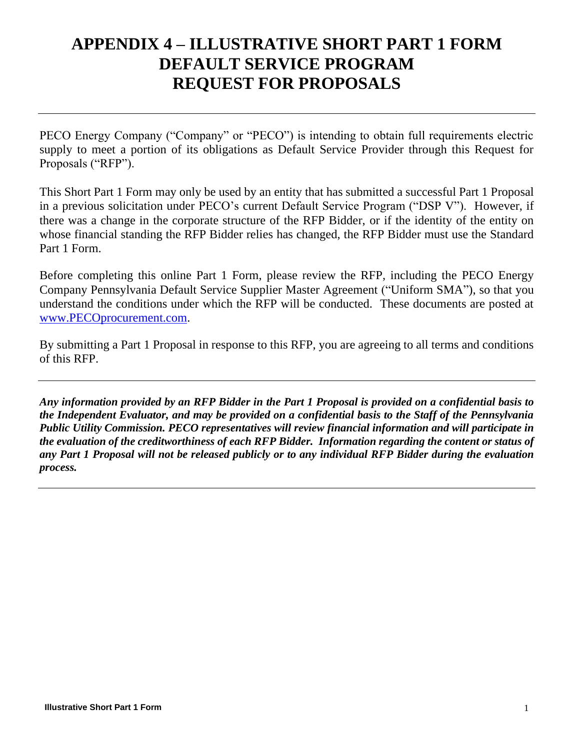# **APPENDIX 4 – ILLUSTRATIVE SHORT PART 1 FORM DEFAULT SERVICE PROGRAM REQUEST FOR PROPOSALS**

PECO Energy Company ("Company" or "PECO") is intending to obtain full requirements electric supply to meet a portion of its obligations as Default Service Provider through this Request for Proposals ("RFP").

This Short Part 1 Form may only be used by an entity that has submitted a successful Part 1 Proposal in a previous solicitation under PECO's current Default Service Program ("DSP V"). However, if there was a change in the corporate structure of the RFP Bidder, or if the identity of the entity on whose financial standing the RFP Bidder relies has changed, the RFP Bidder must use the Standard Part 1 Form.

Before completing this online Part 1 Form, please review the RFP, including the PECO Energy Company Pennsylvania Default Service Supplier Master Agreement ("Uniform SMA"), so that you understand the conditions under which the RFP will be conducted. These documents are posted at [www.PECOprocurement.com.](http://www.pecoprocurement.com/)

By submitting a Part 1 Proposal in response to this RFP, you are agreeing to all terms and conditions of this RFP.

*Any information provided by an RFP Bidder in the Part 1 Proposal is provided on a confidential basis to the Independent Evaluator, and may be provided on a confidential basis to the Staff of the Pennsylvania Public Utility Commission. PECO representatives will review financial information and will participate in the evaluation of the creditworthiness of each RFP Bidder. Information regarding the content or status of any Part 1 Proposal will not be released publicly or to any individual RFP Bidder during the evaluation process.*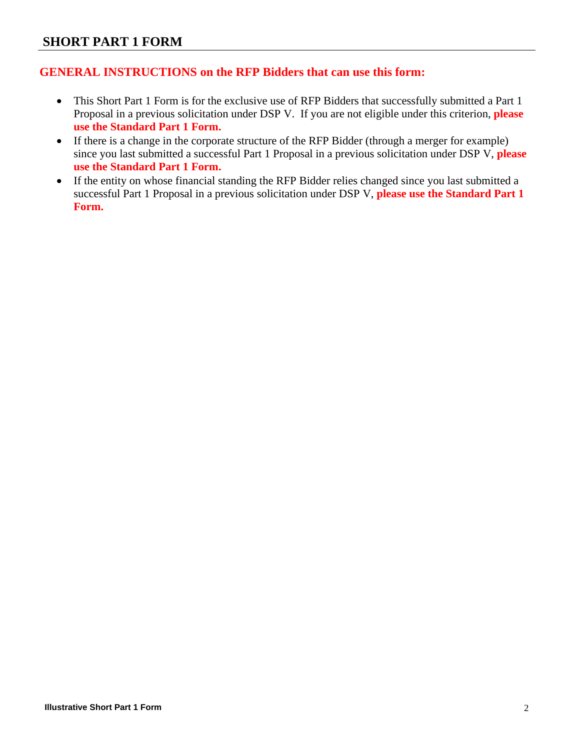## **GENERAL INSTRUCTIONS on the RFP Bidders that can use this form:**

- This Short Part 1 Form is for the exclusive use of RFP Bidders that successfully submitted a Part 1 Proposal in a previous solicitation under DSP V. If you are not eligible under this criterion, **please use the Standard Part 1 Form.**
- If there is a change in the corporate structure of the RFP Bidder (through a merger for example) since you last submitted a successful Part 1 Proposal in a previous solicitation under DSP V, **please use the Standard Part 1 Form.**
- If the entity on whose financial standing the RFP Bidder relies changed since you last submitted a successful Part 1 Proposal in a previous solicitation under DSP V, **please use the Standard Part 1 Form.**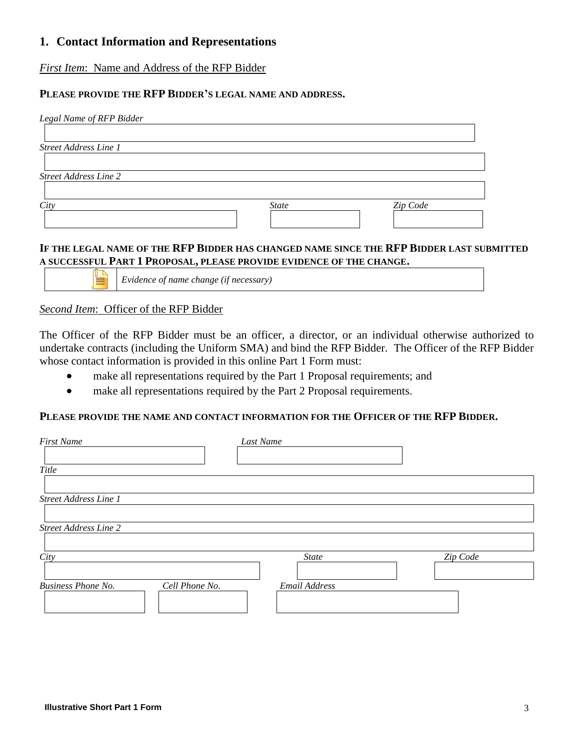## **1. Contact Information and Representations**

*First Item*: Name and Address of the RFP Bidder

## **PLEASE PROVIDE THE RFP BIDDER'S LEGAL NAME AND ADDRESS.**

| Legal Name of RFP Bidder     |              |          |
|------------------------------|--------------|----------|
|                              |              |          |
| <b>Street Address Line 1</b> |              |          |
|                              |              |          |
| <b>Street Address Line 2</b> |              |          |
|                              |              |          |
| City                         | <b>State</b> | Zip Code |
|                              |              |          |
|                              |              |          |

#### **IF THE LEGAL NAME OF THE RFP BIDDER HAS CHANGED NAME SINCE THE RFP BIDDER LAST SUBMITTED A SUCCESSFUL PART 1 PROPOSAL, PLEASE PROVIDE EVIDENCE OF THE CHANGE.**

## *Second Item*: Officer of the RFP Bidder

The Officer of the RFP Bidder must be an officer, a director, or an individual otherwise authorized to undertake contracts (including the Uniform SMA) and bind the RFP Bidder. The Officer of the RFP Bidder whose contact information is provided in this online Part 1 Form must:

- make all representations required by the Part 1 Proposal requirements; and
- make all representations required by the Part 2 Proposal requirements.

## **PLEASE PROVIDE THE NAME AND CONTACT INFORMATION FOR THE OFFICER OF THE RFP BIDDER.**

| <b>First Name</b>                    | Last Name            |          |
|--------------------------------------|----------------------|----------|
| Title                                |                      |          |
| <b>Street Address Line 1</b>         |                      |          |
| <b>Street Address Line 2</b>         |                      |          |
| City                                 | <b>State</b>         | Zip Code |
| Business Phone No.<br>Cell Phone No. | <b>Email Address</b> |          |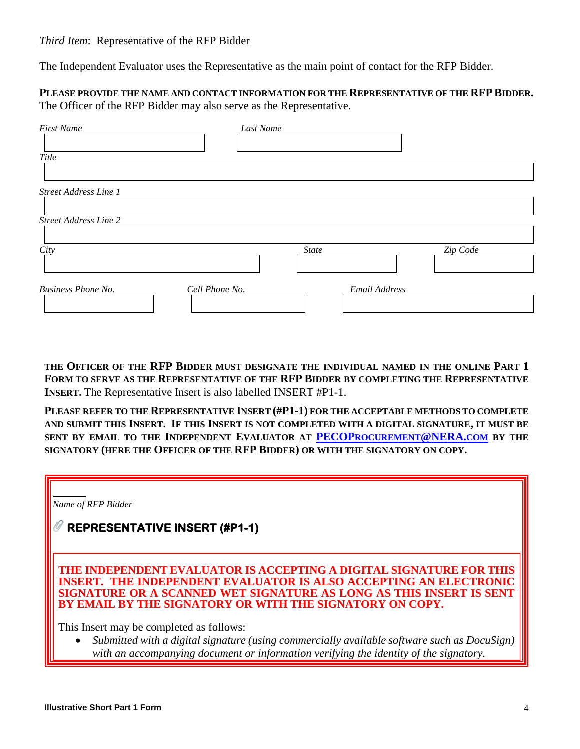## *Third Item*: Representative of the RFP Bidder

The Independent Evaluator uses the Representative as the main point of contact for the RFP Bidder.

## **PLEASE PROVIDE THE NAME AND CONTACT INFORMATION FOR THE REPRESENTATIVE OF THE RFPBIDDER.** The Officer of the RFP Bidder may also serve as the Representative.

| <b>First Name</b>            | Last Name                       |          |
|------------------------------|---------------------------------|----------|
| Title                        |                                 |          |
| <b>Street Address Line 1</b> |                                 |          |
| <b>Street Address Line 2</b> |                                 |          |
| City                         | <b>State</b>                    | Zip Code |
|                              |                                 |          |
| <b>Business Phone No.</b>    | Cell Phone No.<br>Email Address |          |

**THE OFFICER OF THE RFP BIDDER MUST DESIGNATE THE INDIVIDUAL NAMED IN THE ONLINE PART 1 FORM TO SERVE AS THE REPRESENTATIVE OF THE RFP BIDDER BY COMPLETING THE REPRESENTATIVE INSERT.** The Representative Insert is also labelled INSERT #P1-1.

**PLEASE REFER TO THE REPRESENTATIVE INSERT (#P1-1) FOR THE ACCEPTABLE METHODS TO COMPLETE AND SUBMIT THIS INSERT. IF THIS INSERT IS NOT COMPLETED WITH A DIGITAL SIGNATURE, IT MUST BE SENT BY EMAIL TO THE INDEPENDENT EVALUATOR AT PECOP[ROCUREMENT](mailto:PECOProcurement@NERA.com)@NERA.COM BY THE SIGNATORY (HERE THE OFFICER OF THE RFP BIDDER) OR WITH THE SIGNATORY ON COPY.**

*Name of RFP Bidder* **REPRESENTATIVE INSERT (#P1-1) THE INDEPENDENT EVALUATOR IS ACCEPTING A DIGITAL SIGNATURE FOR THIS INSERT. THE INDEPENDENT EVALUATOR IS ALSO ACCEPTING AN ELECTRONIC SIGNATURE OR A SCANNED WET SIGNATURE AS LONG AS THIS INSERT IS SENT BY EMAIL BY THE SIGNATORY OR WITH THE SIGNATORY ON COPY.**  This Insert may be completed as follows: • *Submitted with a digital signature (using commercially available software such as DocuSign) with an accompanying document or information verifying the identity of the signatory.*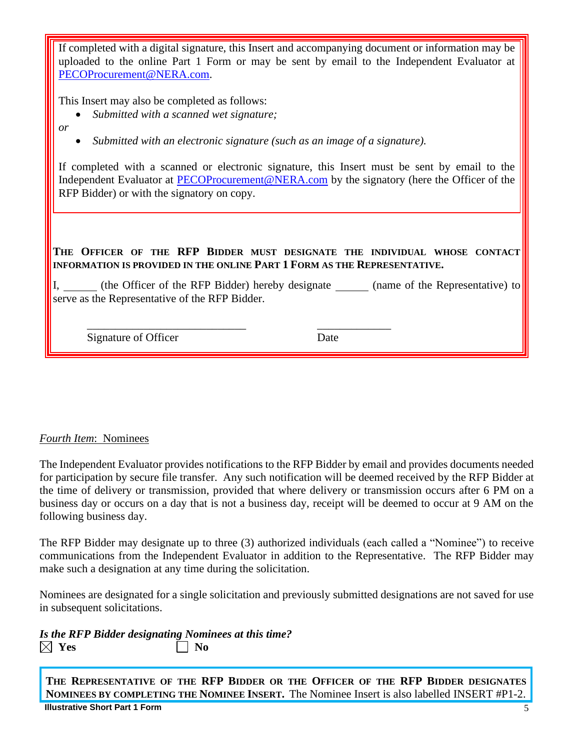If completed with a digital signature, this Insert and accompanying document or information may be uploaded to the online Part 1 Form or may be sent by email to the Independent Evaluator at [PECOProcurement@NERA.com.](mailto:PECOProcurement@NERA.com)

This Insert may also be completed as follows:

• *Submitted with a scanned wet signature;*

*or*

• *Submitted with an electronic signature (such as an image of a signature).*

\_\_\_\_\_\_\_\_\_\_\_\_\_\_\_\_\_\_\_\_\_\_\_\_\_\_\_\_ \_\_\_\_\_\_\_\_\_\_\_\_\_

If completed with a scanned or electronic signature, this Insert must be sent by email to the Independent Evaluator at [PECOProcurement@NERA.com](mailto:PECOProcurement@NERA.com) by the signatory (here the Officer of the RFP Bidder) or with the signatory on copy.

**THE OFFICER OF THE RFP BIDDER MUST DESIGNATE THE INDIVIDUAL WHOSE CONTACT INFORMATION IS PROVIDED IN THE ONLINE PART 1 FORM AS THE REPRESENTATIVE.**

(the Officer of the RFP Bidder) hereby designate (name of the Representative) to serve as the Representative of the RFP Bidder.

Signature of Officer Date

## *Fourth Item*: Nominees

The Independent Evaluator provides notifications to the RFP Bidder by email and provides documents needed for participation by secure file transfer. Any such notification will be deemed received by the RFP Bidder at the time of delivery or transmission, provided that where delivery or transmission occurs after 6 PM on a business day or occurs on a day that is not a business day, receipt will be deemed to occur at 9 AM on the following business day.

The RFP Bidder may designate up to three (3) authorized individuals (each called a "Nominee") to receive communications from the Independent Evaluator in addition to the Representative. The RFP Bidder may make such a designation at any time during the solicitation.

Nominees are designated for a single solicitation and previously submitted designations are not saved for use in subsequent solicitations.

*Is the RFP Bidder designating Nominees at this time?*   $\bowtie$  Yes  $\mid \; \mid$  No

**Illustrative Short Part 1 Form** 5 **THE REPRESENTATIVE OF THE RFP BIDDER OR THE OFFICER OF THE RFP BIDDER DESIGNATES NOMINEES BY COMPLETING THE NOMINEE INSERT.** The Nominee Insert is also labelled INSERT #P1-2.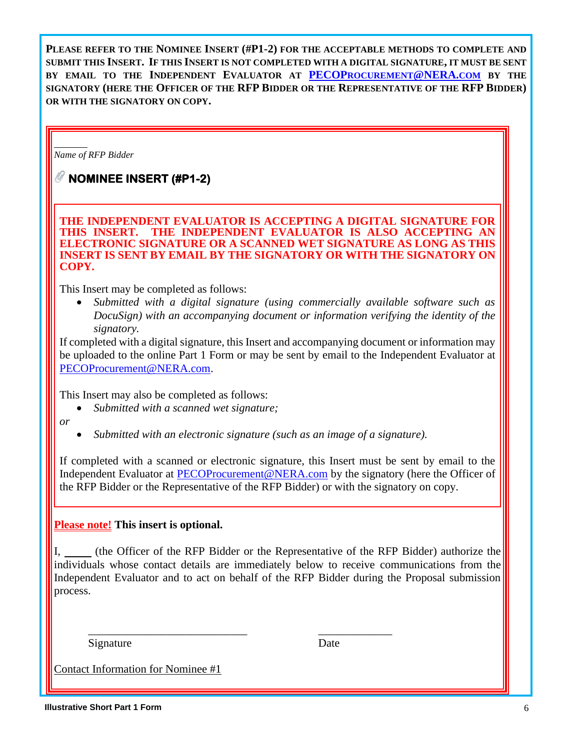**PLEASE REFER TO THE NOMINEE INSERT (#P1-2) FOR THE ACCEPTABLE METHODS TO COMPLETE AND SUBMIT THIS INSERT. IF THIS INSERT IS NOT COMPLETED WITH A DIGITAL SIGNATURE, IT MUST BE SENT BY EMAIL TO THE INDEPENDENT EVALUATOR AT PECOP[ROCUREMENT](mailto:PECOProcurement@NERA.com)@NERA.COM BY THE SIGNATORY (HERE THE OFFICER OF THE RFP BIDDER OR THE REPRESENTATIVE OF THE RFP BIDDER) OR WITH THE SIGNATORY ON COPY.**

*Name of RFP Bidder*

**NOMINEE INSERT (#P1-2)** 

**THE INDEPENDENT EVALUATOR IS ACCEPTING A DIGITAL SIGNATURE FOR THIS INSERT. THE INDEPENDENT EVALUATOR IS ALSO ACCEPTING AN ELECTRONIC SIGNATURE OR A SCANNED WET SIGNATURE AS LONG AS THIS INSERT IS SENT BY EMAIL BY THE SIGNATORY OR WITH THE SIGNATORY ON COPY.** 

This Insert may be completed as follows:

• *Submitted with a digital signature (using commercially available software such as DocuSign) with an accompanying document or information verifying the identity of the signatory.* 

If completed with a digital signature, this Insert and accompanying document or information may be uploaded to the online Part 1 Form or may be sent by email to the Independent Evaluator at [PECOProcurement@NERA.com.](mailto:PECOProcurement@NERA.com)

This Insert may also be completed as follows:

• *Submitted with a scanned wet signature;*

*or*

• *Submitted with an electronic signature (such as an image of a signature).*

If completed with a scanned or electronic signature, this Insert must be sent by email to the Independent Evaluator at [PECOProcurement@NERA.com](mailto:PECOProcurement@NERA.com) by the signatory (here the Officer of the RFP Bidder or the Representative of the RFP Bidder) or with the signatory on copy.

## **Please note! This insert is optional.**

I, (the Officer of the RFP Bidder or the Representative of the RFP Bidder) authorize the individuals whose contact details are immediately below to receive communications from the Independent Evaluator and to act on behalf of the RFP Bidder during the Proposal submission process.

\_\_\_\_\_\_\_\_\_\_\_\_\_\_\_\_\_\_\_\_\_\_\_\_\_\_\_\_ \_\_\_\_\_\_\_\_\_\_\_\_\_

Signature Date

Contact Information for Nominee #1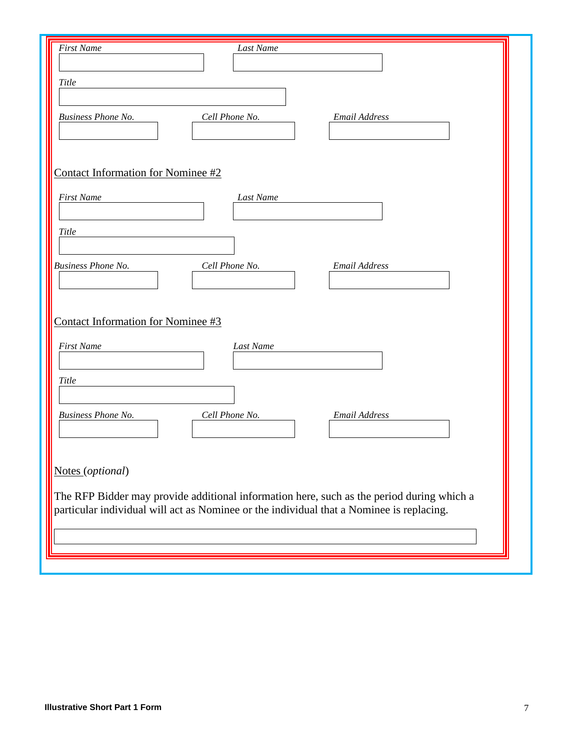| <b>First Name</b><br>Last Name                                                                                                                                                        |
|---------------------------------------------------------------------------------------------------------------------------------------------------------------------------------------|
| Title<br><b>Business Phone No.</b><br>Cell Phone No.<br><b>Email Address</b>                                                                                                          |
|                                                                                                                                                                                       |
| Contact Information for Nominee #2                                                                                                                                                    |
| <b>First Name</b><br>Last Name                                                                                                                                                        |
| Title                                                                                                                                                                                 |
| <b>Business Phone No.</b><br>Cell Phone No.<br>Email Address                                                                                                                          |
| <b>Contact Information for Nominee #3</b>                                                                                                                                             |
| <b>First Name</b><br>Last Name                                                                                                                                                        |
| Title                                                                                                                                                                                 |
| <b>Business Phone No.</b><br>Cell Phone No.<br><b>Email Address</b>                                                                                                                   |
| Notes (optional)                                                                                                                                                                      |
| The RFP Bidder may provide additional information here, such as the period during which a<br>particular individual will act as Nominee or the individual that a Nominee is replacing. |
|                                                                                                                                                                                       |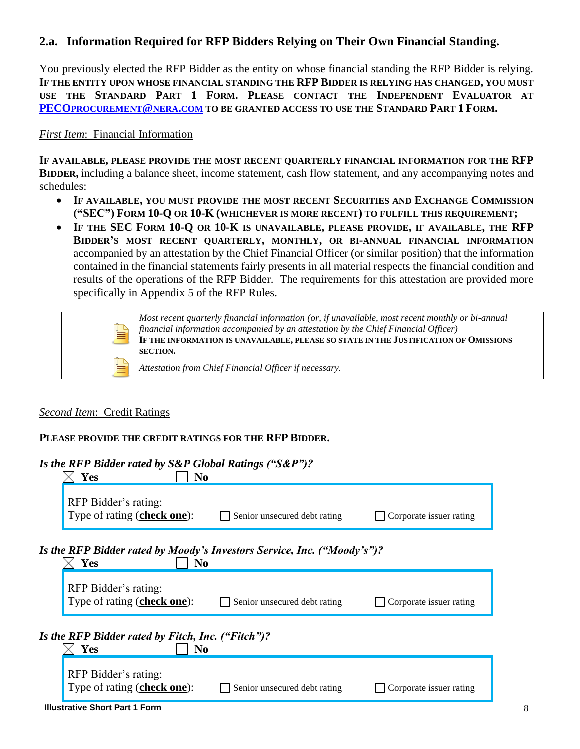## **2.a. Information Required for RFP Bidders Relying on Their Own Financial Standing.**

You previously elected the RFP Bidder as the entity on whose financial standing the RFP Bidder is relying. **IF THE ENTITY UPON WHOSE FINANCIAL STANDING THE RFP BIDDER IS RELYING HAS CHANGED, YOU MUST USE THE STANDARD PART 1 FORM. PLEASE CONTACT THE INDEPENDENT EVALUATOR AT PECO[PROCUREMENT](mailto:Pecoprocurement@nera.com)@NERA.COM TO BE GRANTED ACCESS TO USE THE STANDARD PART 1 FORM.**

## *First Item*: Financial Information

**IF AVAILABLE, PLEASE PROVIDE THE MOST RECENT QUARTERLY FINANCIAL INFORMATION FOR THE RFP BIDDER**, including a balance sheet, income statement, cash flow statement, and any accompanying notes and schedules:

- **IF AVAILABLE, YOU MUST PROVIDE THE MOST RECENT SECURITIES AND EXCHANGE COMMISSION ("SEC") FORM 10-Q OR 10-K (WHICHEVER IS MORE RECENT) TO FULFILL THIS REQUIREMENT;**
- **IF THE SEC FORM 10-Q OR 10-K IS UNAVAILABLE, PLEASE PROVIDE, IF AVAILABLE, THE RFP BIDDER'S MOST RECENT QUARTERLY, MONTHLY, OR BI-ANNUAL FINANCIAL INFORMATION** accompanied by an attestation by the Chief Financial Officer (or similar position) that the information contained in the financial statements fairly presents in all material respects the financial condition and results of the operations of the RFP Bidder. The requirements for this attestation are provided more specifically in Appendix 5 of the RFP Rules.

| 吐      | Most recent quarterly financial information (or, if unavailable, most recent monthly or bi-annual<br>financial information accompanied by an attestation by the Chief Financial Officer)<br>IF THE INFORMATION IS UNAVAILABLE, PLEASE SO STATE IN THE JUSTIFICATION OF OMISSIONS<br><b>SECTION.</b> |
|--------|-----------------------------------------------------------------------------------------------------------------------------------------------------------------------------------------------------------------------------------------------------------------------------------------------------|
| U<br>= | Attestation from Chief Financial Officer if necessary.                                                                                                                                                                                                                                              |

## *Second Item*:Credit Ratings

## **PLEASE PROVIDE THE CREDIT RATINGS FOR THE RFP BIDDER.**

## *Is the RFP Bidder rated by S&P Global Ratings ("S&P")?*

| Yes<br>N <sub>0</sub>                                                      | $\alpha$ $\beta$ , $\beta$ , $\beta$ , $\beta$ , $\beta$ , $\beta$ , $\beta$ , $\beta$ , $\beta$ , $\beta$ , $\beta$ , $\beta$ , $\beta$ , $\beta$ , $\beta$ , $\beta$ , $\beta$ , $\beta$ , $\beta$ , $\beta$ , $\beta$ , $\beta$ , $\beta$ , $\beta$ , $\beta$ , $\beta$ , $\beta$ , $\beta$ , $\beta$ , $\beta$ , $\beta$ , $\alpha$ , $\beta$ , $\beta$ , $\alpha$ , $\beta$ , |                         |
|----------------------------------------------------------------------------|------------------------------------------------------------------------------------------------------------------------------------------------------------------------------------------------------------------------------------------------------------------------------------------------------------------------------------------------------------------------------------|-------------------------|
| RFP Bidder's rating:<br>Type of rating (check one):                        | Senior unsecured debt rating                                                                                                                                                                                                                                                                                                                                                       | Corporate issuer rating |
| Yes<br>No                                                                  | Is the RFP Bidder rated by Moody's Investors Service, Inc. ("Moody's")?                                                                                                                                                                                                                                                                                                            |                         |
| RFP Bidder's rating:<br>Type of rating (check one):                        | Senior unsecured debt rating                                                                                                                                                                                                                                                                                                                                                       | Corporate issuer rating |
| Is the RFP Bidder rated by Fitch, Inc. ("Fitch")?<br>Yes<br>N <sub>0</sub> |                                                                                                                                                                                                                                                                                                                                                                                    |                         |
| RFP Bidder's rating:<br>Type of rating (check one):                        | Senior unsecured debt rating                                                                                                                                                                                                                                                                                                                                                       | Corporate issuer rating |
| <b>Illustrative Short Part 1 Form</b>                                      |                                                                                                                                                                                                                                                                                                                                                                                    |                         |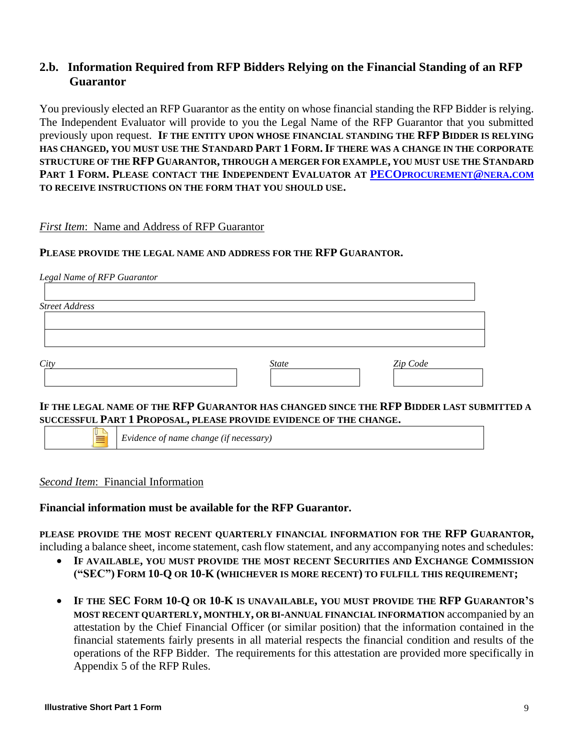## **2.b. Information Required from RFP Bidders Relying on the Financial Standing of an RFP Guarantor**

You previously elected an RFP Guarantor as the entity on whose financial standing the RFP Bidder is relying. The Independent Evaluator will provide to you the Legal Name of the RFP Guarantor that you submitted previously upon request. **IF THE ENTITY UPON WHOSE FINANCIAL STANDING THE RFP BIDDER IS RELYING HAS CHANGED, YOU MUST USE THE STANDARD PART 1 FORM.IF THERE WAS A CHANGE IN THE CORPORATE STRUCTURE OF THE RFP GUARANTOR, THROUGH A MERGER FOR EXAMPLE, YOU MUST USE THE STANDARD PART 1 FORM. PLEASE CONTACT THE INDEPENDENT EVALUATOR AT PECO[PROCUREMENT](mailto:Pecoprocurement@nera.com)@NERA.COM TO RECEIVE INSTRUCTIONS ON THE FORM THAT YOU SHOULD USE.**

#### *First Item*: Name and Address of RFP Guarantor

#### **PLEASE PROVIDE THE LEGAL NAME AND ADDRESS FOR THE RFP GUARANTOR.**

| Legal Name of RFP Guarantor |  |
|-----------------------------|--|
|                             |  |

| <b>Street Address</b> |              |          |
|-----------------------|--------------|----------|
|                       |              |          |
|                       |              |          |
| City                  | <b>State</b> | Zip Code |

## **IF THE LEGAL NAME OF THE RFP GUARANTOR HAS CHANGED SINCE THE RFP BIDDER LAST SUBMITTED A SUCCESSFUL PART 1 PROPOSAL, PLEASE PROVIDE EVIDENCE OF THE CHANGE.**

*Evidence of name change (if necessary)*

## *Second Item*: Financial Information

#### **Financial information must be available for the RFP Guarantor.**

**PLEASE PROVIDE THE MOST RECENT QUARTERLY FINANCIAL INFORMATION FOR THE RFP GUARANTOR,** including a balance sheet, income statement, cash flow statement, and any accompanying notes and schedules:

- **IF AVAILABLE, YOU MUST PROVIDE THE MOST RECENT SECURITIES AND EXCHANGE COMMISSION ("SEC") FORM 10-Q OR 10-K (WHICHEVER IS MORE RECENT) TO FULFILL THIS REQUIREMENT;**
- **IF THE SEC FORM 10-Q OR 10-K IS UNAVAILABLE, YOU MUST PROVIDE THE RFP GUARANTOR'S MOST RECENT QUARTERLY, MONTHLY, OR BI-ANNUAL FINANCIAL INFORMATION** accompanied by an attestation by the Chief Financial Officer (or similar position) that the information contained in the financial statements fairly presents in all material respects the financial condition and results of the operations of the RFP Bidder. The requirements for this attestation are provided more specifically in Appendix 5 of the RFP Rules.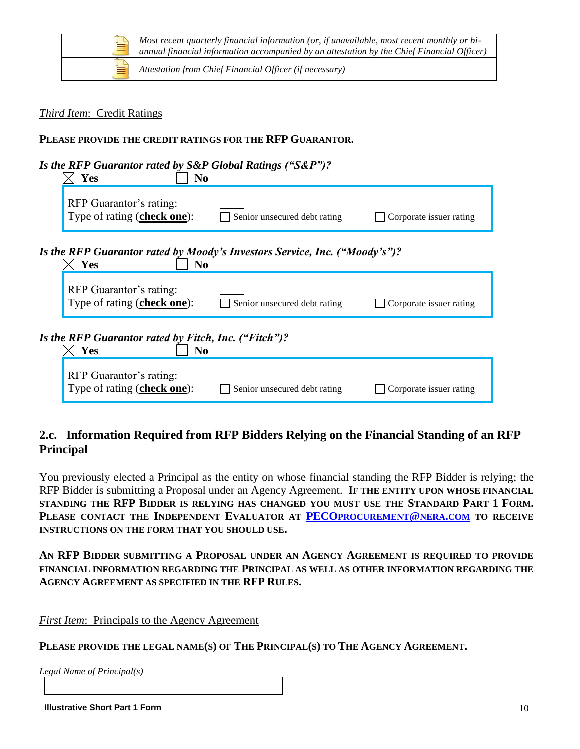| $\frac{1}{2}$ Most recent quarterly financial information (or, if unavailable, most recent monthly or bi-<br>annual financial information accompanied by an attestation by the Chief Financial Officer) |
|---------------------------------------------------------------------------------------------------------------------------------------------------------------------------------------------------------|
| Attestation from Chief Financial Officer (if necessary)                                                                                                                                                 |

## *Third Item*:Credit Ratings

## **PLEASE PROVIDE THE CREDIT RATINGS FOR THE RFP GUARANTOR.**

## *Is the RFP Guarantor rated by S&P Global Ratings ("S&P")?*

| N <sub>0</sub><br>Yes                                                         |                                                                            |                         |
|-------------------------------------------------------------------------------|----------------------------------------------------------------------------|-------------------------|
| RFP Guarantor's rating:<br>Type of rating (check one):                        | Senior unsecured debt rating                                               | Corporate issuer rating |
| Yes<br>No                                                                     | Is the RFP Guarantor rated by Moody's Investors Service, Inc. ("Moody's")? |                         |
| RFP Guarantor's rating:<br>Type of rating (check one):                        | Senior unsecured debt rating                                               | Corporate issuer rating |
| Is the RFP Guarantor rated by Fitch, Inc. ("Fitch")?<br>Yes<br>N <sub>0</sub> |                                                                            |                         |
| RFP Guarantor's rating:<br>Type of rating (check one):                        | Senior unsecured debt rating                                               | Corporate issuer rating |

## **2.c. Information Required from RFP Bidders Relying on the Financial Standing of an RFP Principal**

You previously elected a Principal as the entity on whose financial standing the RFP Bidder is relying; the RFP Bidder is submitting a Proposal under an Agency Agreement. **IF THE ENTITY UPON WHOSE FINANCIAL STANDING THE RFP BIDDER IS RELYING HAS CHANGED YOU MUST USE THE STANDARD PART 1 FORM. PLEASE CONTACT THE INDEPENDENT EVALUATOR AT PECO[PROCUREMENT](mailto:PECOprocurement@nera.com)@NERA.COM TO RECEIVE INSTRUCTIONS ON THE FORM THAT YOU SHOULD USE.**

**AN RFP BIDDER SUBMITTING A PROPOSAL UNDER AN AGENCY AGREEMENT IS REQUIRED TO PROVIDE FINANCIAL INFORMATION REGARDING THE PRINCIPAL AS WELL AS OTHER INFORMATION REGARDING THE AGENCY AGREEMENT AS SPECIFIED IN THE RFP RULES.**

*First Item*: Principals to the Agency Agreement

**PLEASE PROVIDE THE LEGAL NAME(S) OF THE PRINCIPAL(S) TO THE AGENCY AGREEMENT.**

*Legal Name of Principal(s)*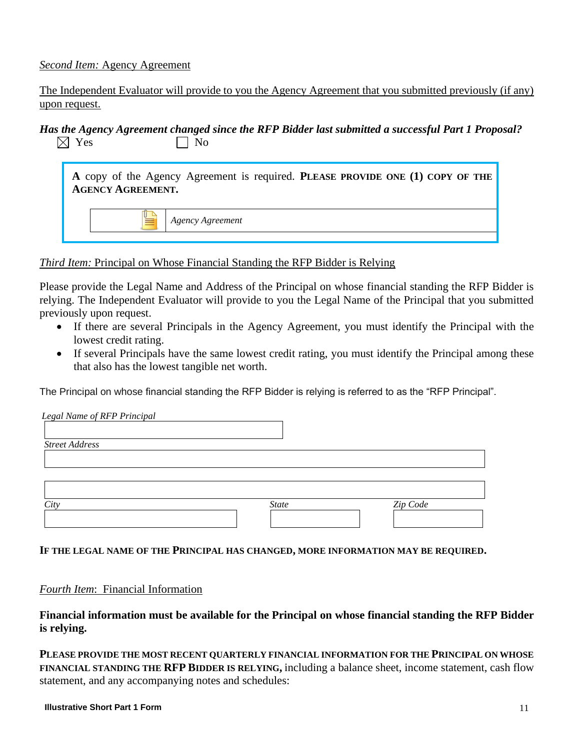## *Second Item:* Agency Agreement

The Independent Evaluator will provide to you the Agency Agreement that you submitted previously (if any) upon request.

## *Has the Agency Agreement changed since the RFP Bidder last submitted a successful Part 1 Proposal?*  $\boxtimes$  Yes  $\Box$  No

| <b>AGENCY AGREEMENT.</b> | A copy of the Agency Agreement is required. PLEASE PROVIDE ONE (1) COPY OF THE |
|--------------------------|--------------------------------------------------------------------------------|
| ≡                        | Agency Agreement                                                               |

## *Third Item:* Principal on Whose Financial Standing the RFP Bidder is Relying

Please provide the Legal Name and Address of the Principal on whose financial standing the RFP Bidder is relying. The Independent Evaluator will provide to you the Legal Name of the Principal that you submitted previously upon request.

- If there are several Principals in the Agency Agreement, you must identify the Principal with the lowest credit rating.
- If several Principals have the same lowest credit rating, you must identify the Principal among these that also has the lowest tangible net worth.

The Principal on whose financial standing the RFP Bidder is relying is referred to as the "RFP Principal".

| <b>Legal Name of RFP Principal</b> |              |          |
|------------------------------------|--------------|----------|
|                                    |              |          |
| <b>Street Address</b>              |              |          |
|                                    |              |          |
|                                    |              |          |
|                                    |              |          |
| City                               | <b>State</b> | Zip Code |
|                                    |              |          |
|                                    |              |          |

## **IF THE LEGAL NAME OF THE PRINCIPAL HAS CHANGED, MORE INFORMATION MAY BE REQUIRED.**

## *Fourth Item*: Financial Information

**Financial information must be available for the Principal on whose financial standing the RFP Bidder is relying.**

**PLEASE PROVIDE THE MOST RECENT QUARTERLY FINANCIAL INFORMATION FOR THE PRINCIPAL ON WHOSE FINANCIAL STANDING THE RFP BIDDER IS RELYING,** including a balance sheet, income statement, cash flow statement, and any accompanying notes and schedules:

#### **Illustrative Short Part 1 Form** 11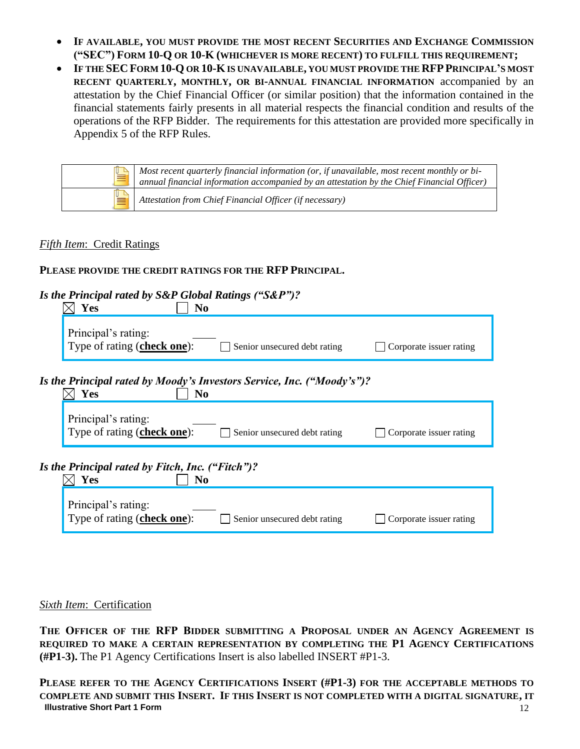- **IF AVAILABLE, YOU MUST PROVIDE THE MOST RECENT SECURITIES AND EXCHANGE COMMISSION ("SEC") FORM 10-Q OR 10-K (WHICHEVER IS MORE RECENT) TO FULFILL THIS REQUIREMENT;**
- **IF THE SEC FORM 10-Q OR 10-KIS UNAVAILABLE, YOU MUST PROVIDE THE RFPPRINCIPAL'S MOST RECENT QUARTERLY, MONTHLY, OR BI-ANNUAL FINANCIAL INFORMATION** accompanied by an attestation by the Chief Financial Officer (or similar position) that the information contained in the financial statements fairly presents in all material respects the financial condition and results of the operations of the RFP Bidder. The requirements for this attestation are provided more specifically in Appendix 5 of the RFP Rules.

|   | $\frac{1}{2}$ Most recent quarterly financial information (or, if unavailable, most recent monthly or bi-<br>annual financial information accompanied by an attestation by the Chief Financial Officer) |
|---|---------------------------------------------------------------------------------------------------------------------------------------------------------------------------------------------------------|
| ≡ | Attestation from Chief Financial Officer (if necessary)                                                                                                                                                 |

## *Fifth Item*:Credit Ratings

## **PLEASE PROVIDE THE CREDIT RATINGS FOR THE RFP PRINCIPAL.**

## *Is the Principal rated by S&P Global Ratings ("S&P")?*

| No<br>Yes                                                                           |                         |
|-------------------------------------------------------------------------------------|-------------------------|
| Principal's rating:<br>Type of rating (check one):<br>Senior unsecured debt rating  | Corporate issuer rating |
| Is the Principal rated by Moody's Investors Service, Inc. ("Moody's")?<br>Yes<br>No |                         |
| Principal's rating:<br>Type of rating (check one):<br>Senior unsecured debt rating  | Corporate issuer rating |
| Is the Principal rated by Fitch, Inc. ("Fitch")?<br>Yes<br>No                       |                         |
| Principal's rating:<br>Type of rating (check one):<br>Senior unsecured debt rating  | Corporate issuer rating |

## *Sixth Item*: Certification

**THE OFFICER OF THE RFP BIDDER SUBMITTING A PROPOSAL UNDER AN AGENCY AGREEMENT IS REQUIRED TO MAKE A CERTAIN REPRESENTATION BY COMPLETING THE P1 AGENCY CERTIFICATIONS (#P1-3).** The P1 Agency Certifications Insert is also labelled INSERT #P1-3.

**Illustrative Short Part 1 Form** 12 **PLEASE REFER TO THE AGENCY CERTIFICATIONS INSERT (#P1-3) FOR THE ACCEPTABLE METHODS TO COMPLETE AND SUBMIT THIS INSERT. IF THIS INSERT IS NOT COMPLETED WITH A DIGITAL SIGNATURE, IT**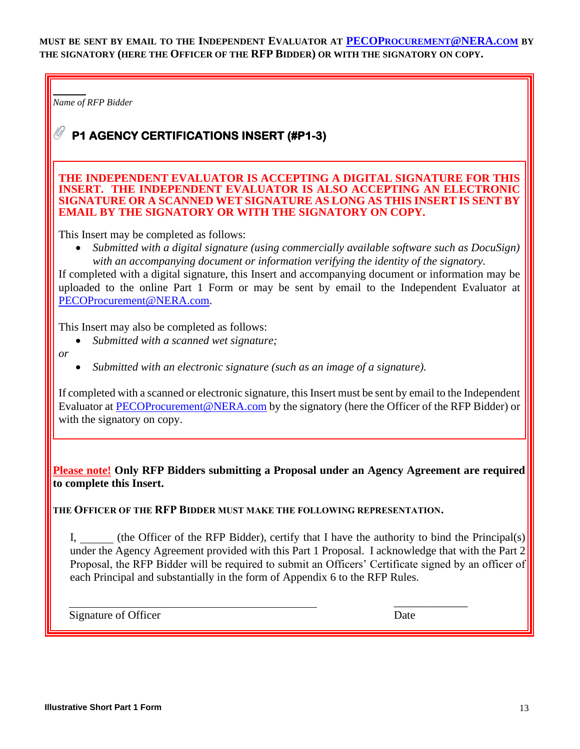### **MUST BE SENT BY EMAIL TO THE INDEPENDENT EVALUATOR AT PECOP[ROCUREMENT](mailto:PECOProcurement@NERA.com)@NERA.COM BY THE SIGNATORY (HERE THE OFFICER OF THE RFP BIDDER) OR WITH THE SIGNATORY ON COPY.**

*Name of RFP Bidder*

## **P1 AGENCY CERTIFICATIONS INSERT (#P1-3)**

#### **THE INDEPENDENT EVALUATOR IS ACCEPTING A DIGITAL SIGNATURE FOR THIS INSERT. THE INDEPENDENT EVALUATOR IS ALSO ACCEPTING AN ELECTRONIC SIGNATURE OR A SCANNED WET SIGNATURE AS LONG AS THIS INSERT IS SENT BY EMAIL BY THE SIGNATORY OR WITH THE SIGNATORY ON COPY.**

This Insert may be completed as follows:

• *Submitted with a digital signature (using commercially available software such as DocuSign) with an accompanying document or information verifying the identity of the signatory.* 

If completed with a digital signature, this Insert and accompanying document or information may be uploaded to the online Part 1 Form or may be sent by email to the Independent Evaluator at [PECOProcurement@NERA.com.](mailto:PECOProcurement@NERA.com)

This Insert may also be completed as follows:

- *Submitted with a scanned wet signature;*
- *or*
- *Submitted with an electronic signature (such as an image of a signature).*

If completed with a scanned or electronic signature, this Insert must be sent by email to the Independent Evaluator at [PECOProcurement@NERA.com](mailto:PECOProcurement@NERA.com) by the signatory (here the Officer of the RFP Bidder) or with the signatory on copy.

**Please note! Only RFP Bidders submitting a Proposal under an Agency Agreement are required to complete this Insert.** 

**THE OFFICER OF THE RFP BIDDER MUST MAKE THE FOLLOWING REPRESENTATION.**

I, (the Officer of the RFP Bidder), certify that I have the authority to bind the Principal(s) under the Agency Agreement provided with this Part 1 Proposal. I acknowledge that with the Part 2 Proposal, the RFP Bidder will be required to submit an Officers' Certificate signed by an officer of each Principal and substantially in the form of Appendix 6 to the RFP Rules.

Signature of Officer Date

\_\_\_\_\_\_\_\_\_\_\_\_\_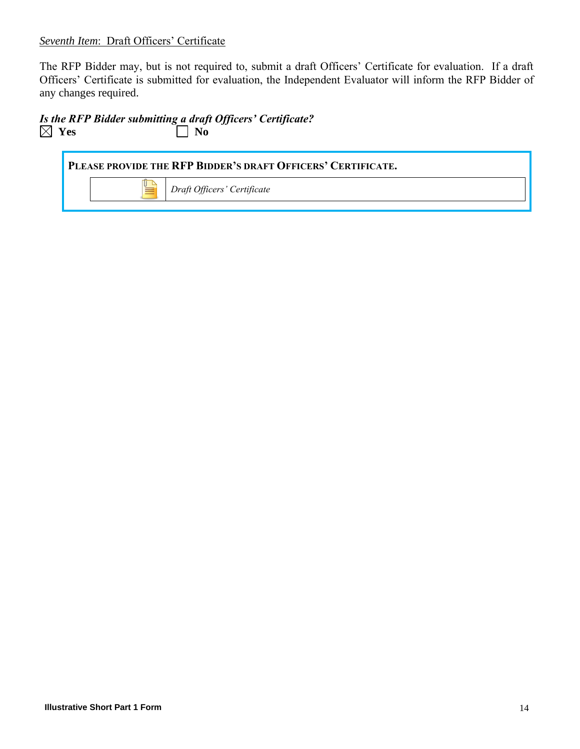## *Seventh Item*: Draft Officers' Certificate

The RFP Bidder may, but is not required to, submit a draft Officers' Certificate for evaluation. If a draft Officers' Certificate is submitted for evaluation, the Independent Evaluator will inform the RFP Bidder of any changes required.

## *Is the RFP Bidder submitting a draft Officers' Certificate?*<br>  $\boxtimes$  Yes  $\Box$  No

|  | PLEASE PROVIDE THE RFP BIDDER'S DRAFT OFFICERS' CERTIFICATE. |
|--|--------------------------------------------------------------|
|  | Draft Officers' Certificate                                  |
|  |                                                              |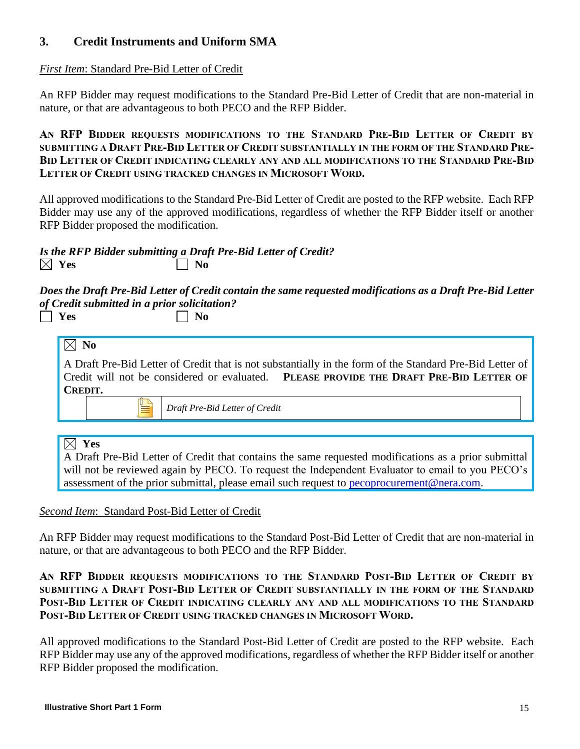## **3. Credit Instruments and Uniform SMA**

## *First Item*: Standard Pre-Bid Letter of Credit

An RFP Bidder may request modifications to the Standard Pre-Bid Letter of Credit that are non-material in nature, or that are advantageous to both PECO and the RFP Bidder.

**AN RFP BIDDER REQUESTS MODIFICATIONS TO THE STANDARD PRE-BID LETTER OF CREDIT BY SUBMITTING A DRAFT PRE-BID LETTER OF CREDIT SUBSTANTIALLY IN THE FORM OF THE STANDARD PRE-BID LETTER OF CREDIT INDICATING CLEARLY ANY AND ALL MODIFICATIONS TO THE STANDARD PRE-BID LETTER OF CREDIT USING TRACKED CHANGES IN MICROSOFT WORD.**

All approved modifications to the Standard Pre-Bid Letter of Credit are posted to the RFP website. Each RFP Bidder may use any of the approved modifications, regardless of whether the RFP Bidder itself or another RFP Bidder proposed the modification.

## *Is the RFP Bidder submitting a Draft Pre-Bid Letter of Credit?*   $\boxtimes$  Yes  $\Box$  No

## *Does the Draft Pre-Bid Letter of Credit contain the same requested modifications as a Draft Pre-Bid Letter of Credit submitted in a prior solicitation?*

 $Yes$   $|No|$ 

| $\mathsf{N}$ No |                                                                                                                                                                                                    |
|-----------------|----------------------------------------------------------------------------------------------------------------------------------------------------------------------------------------------------|
|                 | A Draft Pre-Bid Letter of Credit that is not substantially in the form of the Standard Pre-Bid Letter of<br>Credit will not be considered or evaluated. PLEASE PROVIDE THE DRAFT PRE-BID LETTER OF |
| CREDIT.         |                                                                                                                                                                                                    |
|                 |                                                                                                                                                                                                    |

*Draft Pre-Bid Letter of Credit*

## **Yes**

A Draft Pre-Bid Letter of Credit that contains the same requested modifications as a prior submittal will not be reviewed again by PECO. To request the Independent Evaluator to email to you PECO's assessment of the prior submittal, please email such request to [pecoprocurement@nera.com.](mailto:pecoprocurement@nera.com)

## *Second Item*: Standard Post-Bid Letter of Credit

An RFP Bidder may request modifications to the Standard Post-Bid Letter of Credit that are non-material in nature, or that are advantageous to both PECO and the RFP Bidder.

**AN RFP BIDDER REQUESTS MODIFICATIONS TO THE STANDARD POST-BID LETTER OF CREDIT BY SUBMITTING A DRAFT POST-BID LETTER OF CREDIT SUBSTANTIALLY IN THE FORM OF THE STANDARD POST-BID LETTER OF CREDIT INDICATING CLEARLY ANY AND ALL MODIFICATIONS TO THE STANDARD POST-BID LETTER OF CREDIT USING TRACKED CHANGES IN MICROSOFT WORD.**

All approved modifications to the Standard Post-Bid Letter of Credit are posted to the RFP website. Each RFP Bidder may use any of the approved modifications, regardless of whether the RFP Bidder itself or another RFP Bidder proposed the modification.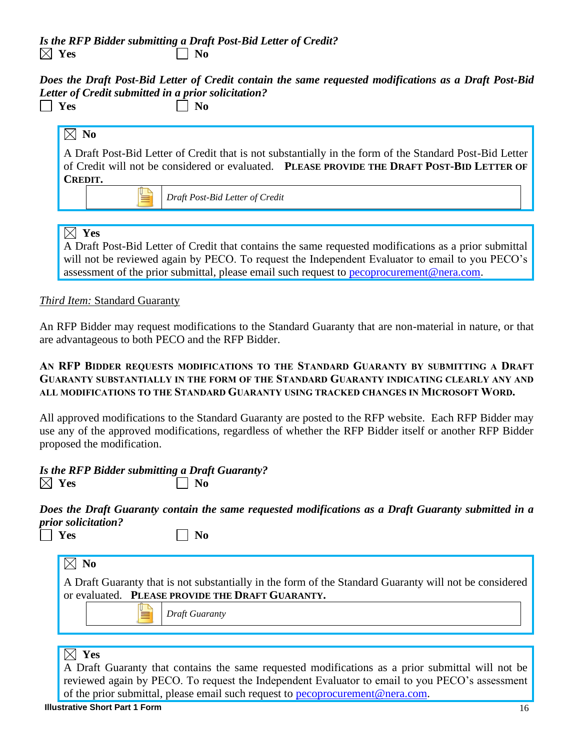*Is the RFP Bidder submitting a Draft Post-Bid Letter of Credit?*   $\boxtimes$  Yes  $\Box$  No

*Does the Draft Post-Bid Letter of Credit contain the same requested modifications as a Draft Post-Bid Letter of Credit submitted in a prior solicitation?*   $\vert$  **Yes**  $\vert$  **No** 

# $\boxtimes$  No

A Draft Post-Bid Letter of Credit that is not substantially in the form of the Standard Post-Bid Letter of Credit will not be considered or evaluated. **PLEASE PROVIDE THE DRAFT POST-BID LETTER OF CREDIT.**

*Draft Post-Bid Letter of Credit*

## **Yes**

A Draft Post-Bid Letter of Credit that contains the same requested modifications as a prior submittal will not be reviewed again by PECO. To request the Independent Evaluator to email to you PECO's assessment of the prior submittal, please email such request to [pecoprocurement@nera.com.](mailto:pecoprocurement@nera.com)

## *Third Item:* Standard Guaranty

An RFP Bidder may request modifications to the Standard Guaranty that are non-material in nature, or that are advantageous to both PECO and the RFP Bidder.

## **AN RFP BIDDER REQUESTS MODIFICATIONS TO THE STANDARD GUARANTY BY SUBMITTING A DRAFT GUARANTY SUBSTANTIALLY IN THE FORM OF THE STANDARD GUARANTY INDICATING CLEARLY ANY AND ALL MODIFICATIONS TO THE STANDARD GUARANTY USING TRACKED CHANGES IN MICROSOFT WORD.**

All approved modifications to the Standard Guaranty are posted to the RFP website. Each RFP Bidder may use any of the approved modifications, regardless of whether the RFP Bidder itself or another RFP Bidder proposed the modification.

## *Is the RFP Bidder submitting a Draft Guaranty?*   $\boxtimes$  Yes  $\Box$  No

*Does the Draft Guaranty contain the same requested modifications as a Draft Guaranty submitted in a prior solicitation?*  **Yes** No

## $\boxtimes$  No

A Draft Guaranty that is not substantially in the form of the Standard Guaranty will not be considered or evaluated. **PLEASE PROVIDE THE DRAFT GUARANTY.**

*Draft Guaranty*

**Yes**

A Draft Guaranty that contains the same requested modifications as a prior submittal will not be reviewed again by PECO. To request the Independent Evaluator to email to you PECO's assessment of the prior submittal, please email such request to [pecoprocurement@nera.com.](mailto:pecoprocurement@nera.com)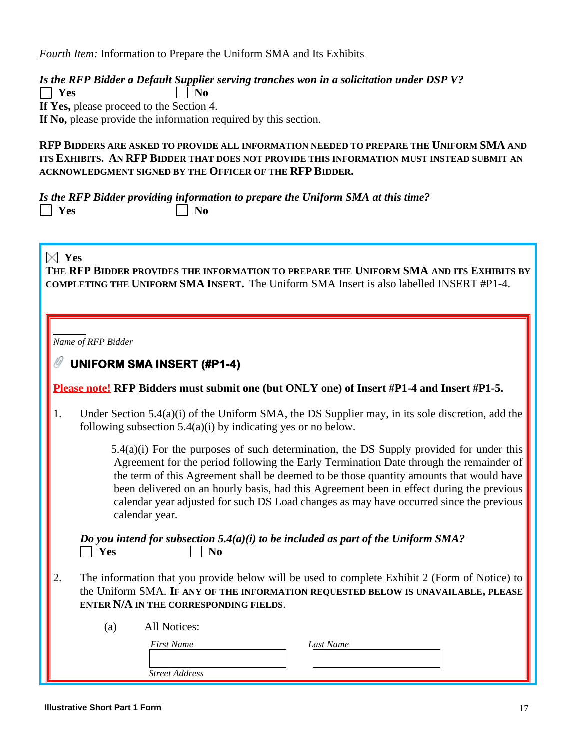*Is the RFP Bidder a Default Supplier serving tranches won in a solicitation under DSP V?*  $\Box$  Yes  $\Box$  No **If Yes,** please proceed to the Section 4. **If No,** please provide the information required by this section.

**RFP BIDDERS ARE ASKED TO PROVIDE ALL INFORMATION NEEDED TO PREPARE THE UNIFORM SMA AND ITS EXHIBITS. AN RFP BIDDER THAT DOES NOT PROVIDE THIS INFORMATION MUST INSTEAD SUBMIT AN ACKNOWLEDGMENT SIGNED BY THE OFFICER OF THE RFP BIDDER.**

*Is the RFP Bidder providing information to prepare the Uniform SMA at this time?*  $\blacksquare$  Yes  $\blacksquare$  No

**Yes**

**THE RFP BIDDER PROVIDES THE INFORMATION TO PREPARE THE UNIFORM SMA AND ITS EXHIBITS BY COMPLETING THE UNIFORM SMA INSERT.** The Uniform SMA Insert is also labelled INSERT #P1-4.

*Name of RFP Bidder*

## **UNIFORM SMA INSERT (#P1-4)**

**Please note! RFP Bidders must submit one (but ONLY one) of Insert #P1-4 and Insert #P1-5.**

1. Under Section 5.4(a)(i) of the Uniform SMA, the DS Supplier may, in its sole discretion, add the following subsection  $5.4(a)(i)$  by indicating yes or no below.

> 5.4(a)(i) For the purposes of such determination, the DS Supply provided for under this Agreement for the period following the Early Termination Date through the remainder of the term of this Agreement shall be deemed to be those quantity amounts that would have been delivered on an hourly basis, had this Agreement been in effect during the previous calendar year adjusted for such DS Load changes as may have occurred since the previous calendar year.

*Do you intend for subsection 5.4(a)(i) to be included as part of the Uniform SMA?*   $\Box$  Yes  $\Box$  No

2. The information that you provide below will be used to complete Exhibit 2 (Form of Notice) to the Uniform SMA. **IF ANY OF THE INFORMATION REQUESTED BELOW IS UNAVAILABLE, PLEASE ENTER N/A IN THE CORRESPONDING FIELDS**.

| (a) | <b>All Notices:</b> |           |
|-----|---------------------|-----------|
|     | <i>First Name</i>   | Last Name |

 *Street Address*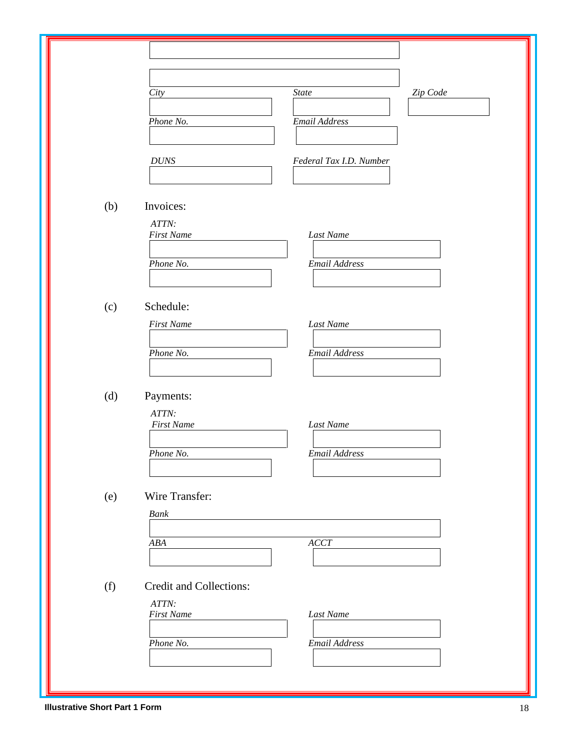|     | <b>State</b><br>Zip Code<br>City<br>Phone No.<br>Email Address<br>$D\ensuremath{\textit{UNS}}$<br>Federal Tax I.D. Number |
|-----|---------------------------------------------------------------------------------------------------------------------------|
| (b) | Invoices:<br>ATTN:<br><b>First Name</b><br>Last Name<br>Email Address<br>Phone No.                                        |
| (c) | Schedule:<br>Last Name<br><b>First Name</b><br>Phone No.<br>Email Address                                                 |
| (d) | Payments:<br>ATTN:<br><b>First Name</b><br>Last Name<br>Email Address<br>Phone No.                                        |
| (e) | Wire Transfer:<br>Bank<br>$\cal{ACCT}$<br>ABA                                                                             |
| (f) | Credit and Collections:<br>ATTN:<br><b>First Name</b><br>Last Name<br>Email Address<br>Phone No.                          |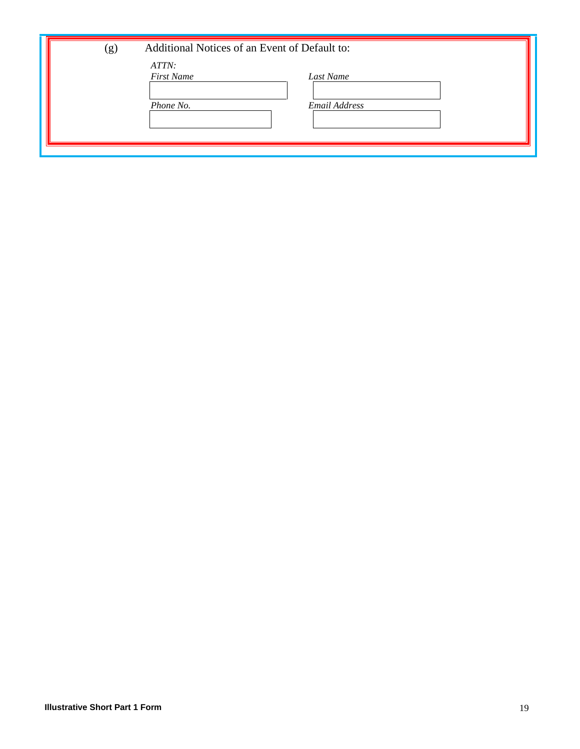| Additional Notices of an Event of Default to:<br>(g) |               |
|------------------------------------------------------|---------------|
| ATTN:<br><b>First Name</b>                           | Last Name     |
| Phone No.                                            | Email Address |
|                                                      |               |
|                                                      |               |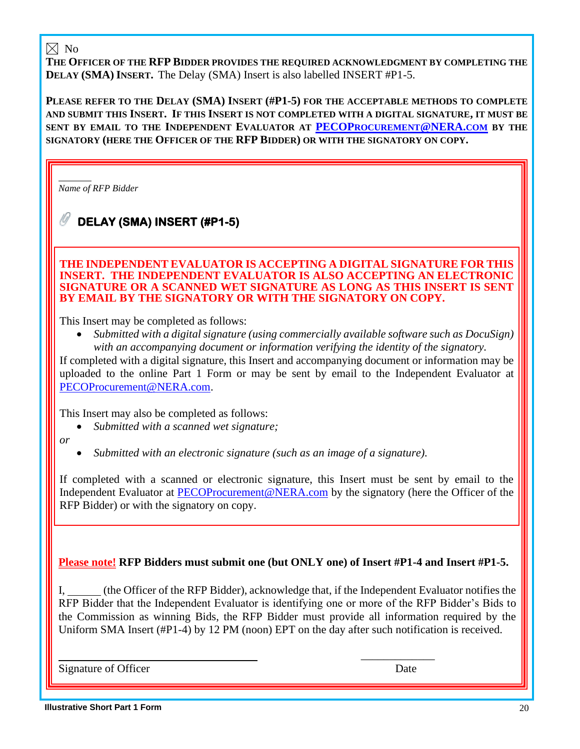## $\boxtimes$  No

**THE OFFICER OF THE RFP BIDDER PROVIDES THE REQUIRED ACKNOWLEDGMENT BY COMPLETING THE DELAY (SMA) INSERT.** The Delay (SMA) Insert is also labelled INSERT #P1-5.

**PLEASE REFER TO THE DELAY (SMA) INSERT (#P1-5) FOR THE ACCEPTABLE METHODS TO COMPLETE AND SUBMIT THIS INSERT. IF THIS INSERT IS NOT COMPLETED WITH A DIGITAL SIGNATURE, IT MUST BE SENT BY EMAIL TO THE INDEPENDENT EVALUATOR AT PECOP[ROCUREMENT](mailto:PECOProcurement@NERA.com)@NERA.COM BY THE SIGNATORY (HERE THE OFFICER OF THE RFP BIDDER) OR WITH THE SIGNATORY ON COPY.**

*Name of RFP Bidder*

**DELAY (SMA) INSERT (#P1-5)** 

#### **THE INDEPENDENT EVALUATOR IS ACCEPTING A DIGITAL SIGNATURE FOR THIS INSERT. THE INDEPENDENT EVALUATOR IS ALSO ACCEPTING AN ELECTRONIC SIGNATURE OR A SCANNED WET SIGNATURE AS LONG AS THIS INSERT IS SENT BY EMAIL BY THE SIGNATORY OR WITH THE SIGNATORY ON COPY.**

This Insert may be completed as follows:

• *Submitted with a digital signature (using commercially available software such as DocuSign) with an accompanying document or information verifying the identity of the signatory.* 

If completed with a digital signature, this Insert and accompanying document or information may be uploaded to the online Part 1 Form or may be sent by email to the Independent Evaluator at [PECOProcurement@NERA.com.](mailto:PECOProcurement@NERA.com)

This Insert may also be completed as follows:

• *Submitted with a scanned wet signature;*

*or*

• *Submitted with an electronic signature (such as an image of a signature).*

 $\mathcal{L}_\text{max}$  , and the contract of the contract of the contract of the contract of the contract of the contract of the contract of the contract of the contract of the contract of the contract of the contract of the contr

If completed with a scanned or electronic signature, this Insert must be sent by email to the Independent Evaluator at [PECOProcurement@NERA.com](mailto:PECOProcurement@NERA.com) by the signatory (here the Officer of the RFP Bidder) or with the signatory on copy.

## **Please note! RFP Bidders must submit one (but ONLY one) of Insert #P1-4 and Insert #P1-5.**

I, (the Officer of the RFP Bidder), acknowledge that, if the Independent Evaluator notifies the RFP Bidder that the Independent Evaluator is identifying one or more of the RFP Bidder's Bids to the Commission as winning Bids, the RFP Bidder must provide all information required by the Uniform SMA Insert (#P1-4) by 12 PM (noon) EPT on the day after such notification is received.

Signature of Officer Date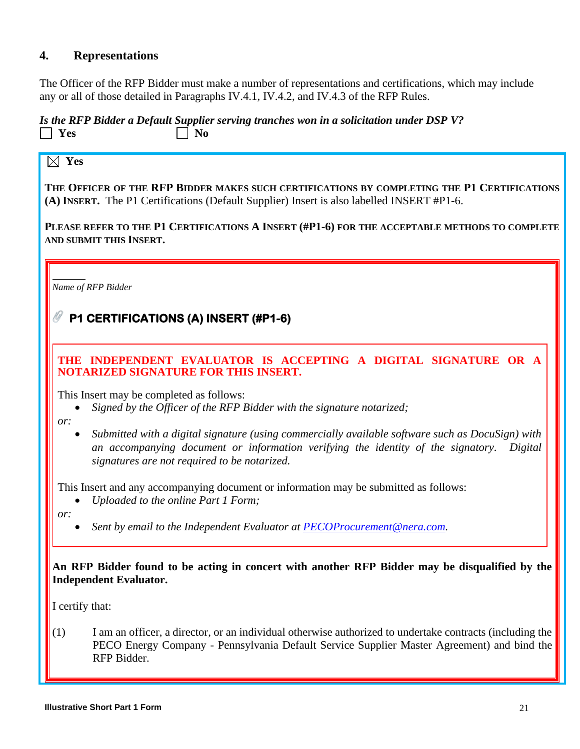## **4. Representations**

The Officer of the RFP Bidder must make a number of representations and certifications, which may include any or all of those detailed in Paragraphs IV.4.1, IV.4.2, and IV.4.3 of the RFP Rules.

|            | Is the RFP Bidder a Default Supplier serving tranches won in a solicitation under DSP V? |  |  |
|------------|------------------------------------------------------------------------------------------|--|--|
| $\Box$ Yes | $\vert$ No                                                                               |  |  |

| $\times$ Yes    |                                                                                                                                                                                                                                                 |
|-----------------|-------------------------------------------------------------------------------------------------------------------------------------------------------------------------------------------------------------------------------------------------|
|                 | THE OFFICER OF THE RFP BIDDER MAKES SUCH CERTIFICATIONS BY COMPLETING THE P1 CERTIFICATIONS                                                                                                                                                     |
|                 | (A) INSERT. The P1 Certifications (Default Supplier) Insert is also labelled INSERT #P1-6.                                                                                                                                                      |
|                 | PLEASE REFER TO THE P1 CERTIFICATIONS A INSERT (#P1-6) FOR THE ACCEPTABLE METHODS TO COMPLETE<br>AND SUBMIT THIS INSERT.                                                                                                                        |
|                 | Name of RFP Bidder                                                                                                                                                                                                                              |
|                 | P1 CERTIFICATIONS (A) INSERT (#P1-6)                                                                                                                                                                                                            |
|                 | THE INDEPENDENT EVALUATOR IS ACCEPTING A DIGITAL SIGNATURE OR A<br>NOTARIZED SIGNATURE FOR THIS INSERT.                                                                                                                                         |
| or:             | This Insert may be completed as follows:<br>Signed by the Officer of the RFP Bidder with the signature notarized;                                                                                                                               |
|                 | Submitted with a digital signature (using commercially available software such as DocuSign) with<br>an accompanying document or information verifying the identity of the signatory.<br>Digital<br>signatures are not required to be notarized. |
|                 | This Insert and any accompanying document or information may be submitted as follows:<br>Uploaded to the online Part 1 Form;                                                                                                                    |
| or:             | Sent by email to the Independent Evaluator at PECOProcurement@nera.com.                                                                                                                                                                         |
|                 | An RFP Bidder found to be acting in concert with another RFP Bidder may be disqualified by the<br><b>Independent Evaluator.</b>                                                                                                                 |
| I certify that: |                                                                                                                                                                                                                                                 |
| (1)             | I am an officer, a director, or an individual otherwise authorized to undertake contracts (including the<br>PECO Energy Company - Pennsylvania Default Service Supplier Master Agreement) and bind the<br>RFP Bidder.                           |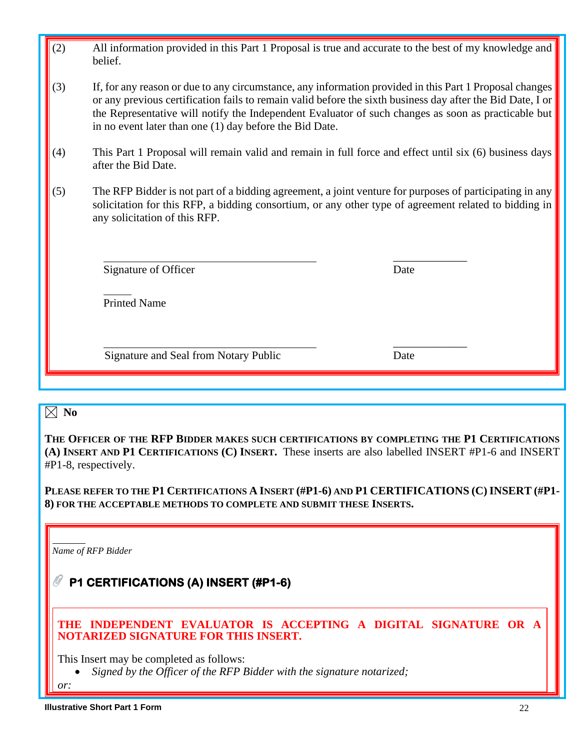| (2)                           | All information provided in this Part 1 Proposal is true and accurate to the best of my knowledge and<br>belief.                                                                                                                                                                                                                                                                        |      |
|-------------------------------|-----------------------------------------------------------------------------------------------------------------------------------------------------------------------------------------------------------------------------------------------------------------------------------------------------------------------------------------------------------------------------------------|------|
| (3)                           | If, for any reason or due to any circumstance, any information provided in this Part 1 Proposal changes<br>or any previous certification fails to remain valid before the sixth business day after the Bid Date, I or<br>the Representative will notify the Independent Evaluator of such changes as soon as practicable but<br>in no event later than one (1) day before the Bid Date. |      |
| (4)                           | This Part 1 Proposal will remain valid and remain in full force and effect until six (6) business days<br>after the Bid Date.                                                                                                                                                                                                                                                           |      |
| (5)                           | The RFP Bidder is not part of a bidding agreement, a joint venture for purposes of participating in any<br>solicitation for this RFP, a bidding consortium, or any other type of agreement related to bidding in<br>any solicitation of this RFP.                                                                                                                                       |      |
|                               | Signature of Officer                                                                                                                                                                                                                                                                                                                                                                    | Date |
|                               | <b>Printed Name</b>                                                                                                                                                                                                                                                                                                                                                                     |      |
|                               | Signature and Seal from Notary Public                                                                                                                                                                                                                                                                                                                                                   | Date |
|                               |                                                                                                                                                                                                                                                                                                                                                                                         |      |
| $\boxtimes$<br>N <sub>0</sub> |                                                                                                                                                                                                                                                                                                                                                                                         |      |
|                               | THE OFFICER OF THE RFP BIDDER MAKES SUCH CERTIFICATIONS BY COMPLETING THE P1 CERTIFICATIONS<br>(A) INSERT AND P1 CERTIFICATIONS (C) INSERT. These inserts are also labelled INSERT #P1-6 and INSERT                                                                                                                                                                                     |      |

#P1-8, respectively.

**PLEASE REFER TO THE P1 CERTIFICATIONS A INSERT (#P1-6) AND P1 CERTIFICATIONS (C)INSERT (#P1- 8) FOR THE ACCEPTABLE METHODS TO COMPLETE AND SUBMIT THESE INSERTS.**

*Name of RFP Bidder*

#### M **P1 CERTIFICATIONS (A) INSERT (#P1-6)**

**THE INDEPENDENT EVALUATOR IS ACCEPTING A DIGITAL SIGNATURE OR A NOTARIZED SIGNATURE FOR THIS INSERT.** 

This Insert may be completed as follows:

• *Signed by the Officer of the RFP Bidder with the signature notarized;* 

*or:*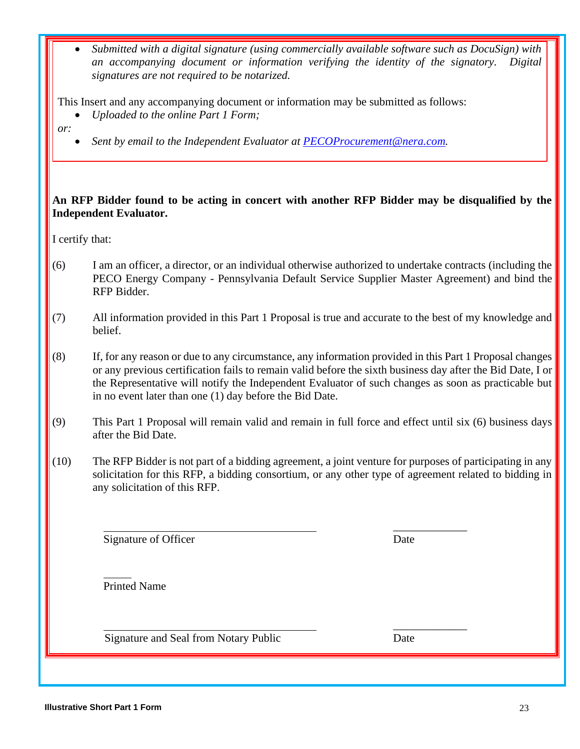• *Submitted with a digital signature (using commercially available software such as DocuSign) with an accompanying document or information verifying the identity of the signatory. Digital signatures are not required to be notarized.*

This Insert and any accompanying document or information may be submitted as follows:

• *Uploaded to the online Part 1 Form;*

*or:*

• *Sent by email to the Independent Evaluator at [PECOProcurement@nera.com.](mailto:PECOProcurement@nera.com)* 

## **An RFP Bidder found to be acting in concert with another RFP Bidder may be disqualified by the Independent Evaluator.**

I certify that:

- (6) I am an officer, a director, or an individual otherwise authorized to undertake contracts (including the PECO Energy Company - Pennsylvania Default Service Supplier Master Agreement) and bind the RFP Bidder.
- (7) All information provided in this Part 1 Proposal is true and accurate to the best of my knowledge and belief.
- (8) If, for any reason or due to any circumstance, any information provided in this Part 1 Proposal changes or any previous certification fails to remain valid before the sixth business day after the Bid Date, I or the Representative will notify the Independent Evaluator of such changes as soon as practicable but in no event later than one (1) day before the Bid Date.
- (9) This Part 1 Proposal will remain valid and remain in full force and effect until six (6) business days after the Bid Date.
- (10) The RFP Bidder is not part of a bidding agreement, a joint venture for purposes of participating in any solicitation for this RFP, a bidding consortium, or any other type of agreement related to bidding in any solicitation of this RFP.

Signature of Officer Date

\_\_\_\_\_\_\_\_\_\_\_\_\_

Printed Name

Signature and Seal from Notary Public Date

\_\_\_\_\_\_\_\_\_\_\_\_\_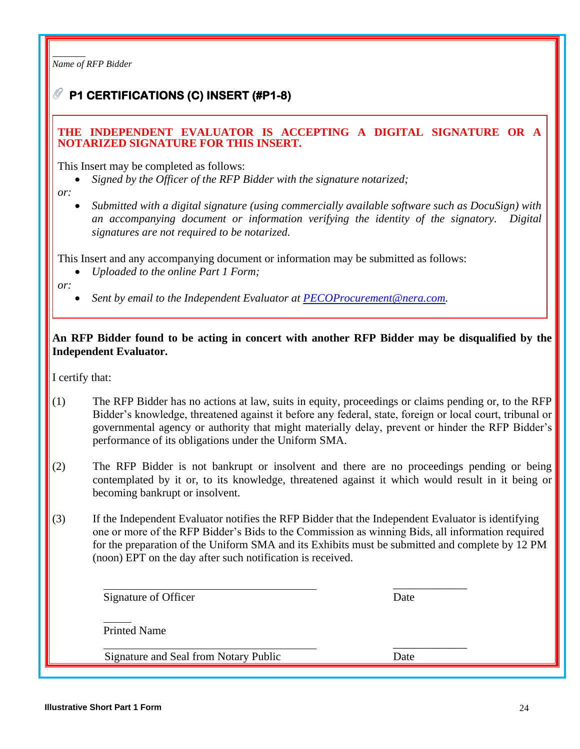*Name of RFP Bidder*

## **P1 CERTIFICATIONS (C) INSERT (#P1-8)**

### **THE INDEPENDENT EVALUATOR IS ACCEPTING A DIGITAL SIGNATURE OR A NOTARIZED SIGNATURE FOR THIS INSERT.**

This Insert may be completed as follows:

- *Signed by the Officer of the RFP Bidder with the signature notarized;*
- *or:*
- *Submitted with a digital signature (using commercially available software such as DocuSign) with an accompanying document or information verifying the identity of the signatory. Digital signatures are not required to be notarized.*

This Insert and any accompanying document or information may be submitted as follows:

• *Uploaded to the online Part 1 Form;*

*or:*

• *Sent by email to the Independent Evaluator at PECOProcurement@nera.com.* 

## **An RFP Bidder found to be acting in concert with another RFP Bidder may be disqualified by the Independent Evaluator.**

I certify that:

- (1) The RFP Bidder has no actions at law, suits in equity, proceedings or claims pending or, to the RFP Bidder's knowledge, threatened against it before any federal, state, foreign or local court, tribunal or governmental agency or authority that might materially delay, prevent or hinder the RFP Bidder's performance of its obligations under the Uniform SMA.
- (2) The RFP Bidder is not bankrupt or insolvent and there are no proceedings pending or being contemplated by it or, to its knowledge, threatened against it which would result in it being or becoming bankrupt or insolvent.
- (3) If the Independent Evaluator notifies the RFP Bidder that the Independent Evaluator is identifying one or more of the RFP Bidder's Bids to the Commission as winning Bids, all information required for the preparation of the Uniform SMA and its Exhibits must be submitted and complete by 12 PM (noon) EPT on the day after such notification is received.

Signature of Officer Date

\_\_\_\_\_\_\_\_\_\_\_\_\_

Printed Name

Signature and Seal from Notary Public Date

\_\_\_\_\_\_\_\_\_\_\_\_\_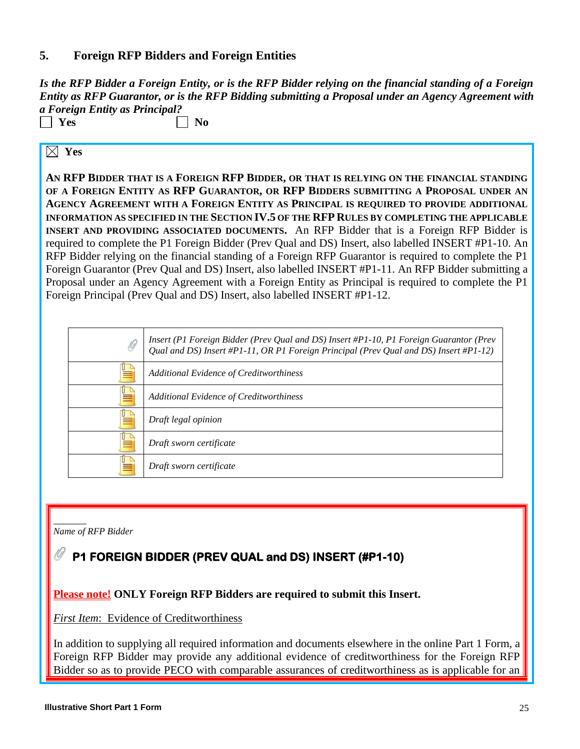## **5. Foreign RFP Bidders and Foreign Entities**

*Is the RFP Bidder a Foreign Entity, or is the RFP Bidder relying on the financial standing of a Foreign Entity as RFP Guarantor, or is the RFP Bidding submitting a Proposal under an Agency Agreement with a Foreign Entity as Principal?*

 $\Box$  Yes  $\Box$  No

## **Yes**

**AN RFP BIDDER THAT IS A FOREIGN RFP BIDDER, OR THAT IS RELYING ON THE FINANCIAL STANDING OF A FOREIGN ENTITY AS RFP GUARANTOR, OR RFP BIDDERS SUBMITTING A PROPOSAL UNDER AN AGENCY AGREEMENT WITH A FOREIGN ENTITY AS PRINCIPAL IS REQUIRED TO PROVIDE ADDITIONAL INFORMATION AS SPECIFIED IN THE SECTION IV.5 OF THE RFP RULES BY COMPLETING THE APPLICABLE INSERT AND PROVIDING ASSOCIATED DOCUMENTS.** An RFP Bidder that is a Foreign RFP Bidder is required to complete the P1 Foreign Bidder (Prev Qual and DS) Insert, also labelled INSERT #P1-10. An RFP Bidder relying on the financial standing of a Foreign RFP Guarantor is required to complete the P1 Foreign Guarantor (Prev Qual and DS) Insert, also labelled INSERT #P1-11. An RFP Bidder submitting a Proposal under an Agency Agreement with a Foreign Entity as Principal is required to complete the P1 Foreign Principal (Prev Qual and DS) Insert, also labelled INSERT #P1-12.

| O | Insert (P1 Foreign Bidder (Prev Qual and DS) Insert #P1-10, P1 Foreign Guarantor (Prev<br>Qual and DS) Insert #P1-11, OR P1 Foreign Principal (Prev Qual and DS) Insert #P1-12) |
|---|---------------------------------------------------------------------------------------------------------------------------------------------------------------------------------|
| 亖 | Additional Evidence of Creditworthiness                                                                                                                                         |
| Ë | Additional Evidence of Creditworthiness                                                                                                                                         |
|   | Draft legal opinion                                                                                                                                                             |
| ≡ | Draft sworn certificate                                                                                                                                                         |
|   | Draft sworn certificate                                                                                                                                                         |

*Name of RFP Bidder*

# **P1 FOREIGN BIDDER (PREV QUAL and DS) INSERT (#P1-10)**

## **Please note! ONLY Foreign RFP Bidders are required to submit this Insert.**

*First Item*: Evidence of Creditworthiness

In addition to supplying all required information and documents elsewhere in the online Part 1 Form, a Foreign RFP Bidder may provide any additional evidence of creditworthiness for the Foreign RFP Bidder so as to provide PECO with comparable assurances of creditworthiness as is applicable for an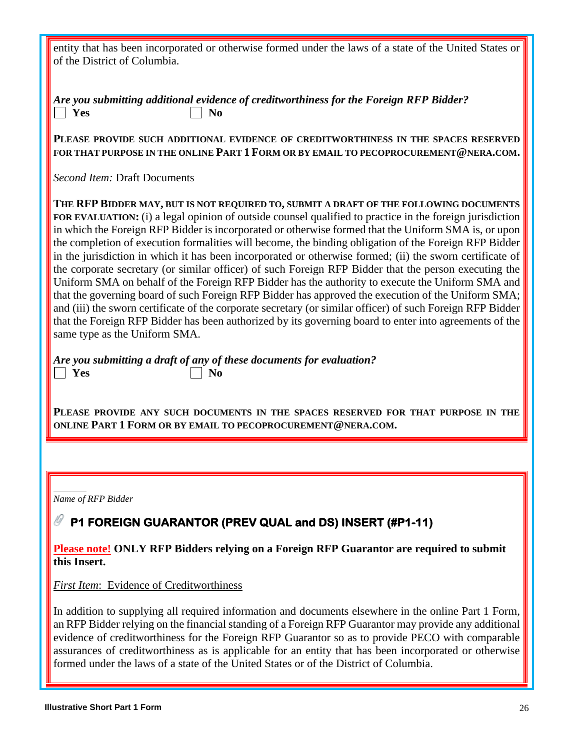| entity that has been incorporated or otherwise formed under the laws of a state of the United States or |  |  |
|---------------------------------------------------------------------------------------------------------|--|--|
| of the District of Columbia.                                                                            |  |  |

| Are you submitting additional evidence of creditworthiness for the Foreign RFP Bidder? |            |  |  |
|----------------------------------------------------------------------------------------|------------|--|--|
| $\Box$ Yes                                                                             | $\vert$ No |  |  |

**PLEASE PROVIDE SUCH ADDITIONAL EVIDENCE OF CREDITWORTHINESS IN THE SPACES RESERVED FOR THAT PURPOSE IN THE ONLINE PART 1 FORM OR BY EMAIL TO PECOPROCUREMENT@NERA.COM.**

*Second Item:* Draft Documents

**THE RFP BIDDER MAY, BUT IS NOT REQUIRED TO, SUBMIT A DRAFT OF THE FOLLOWING DOCUMENTS FOR EVALUATION:** (i) a legal opinion of outside counsel qualified to practice in the foreign jurisdiction in which the Foreign RFP Bidder is incorporated or otherwise formed that the Uniform SMA is, or upon the completion of execution formalities will become, the binding obligation of the Foreign RFP Bidder in the jurisdiction in which it has been incorporated or otherwise formed; (ii) the sworn certificate of the corporate secretary (or similar officer) of such Foreign RFP Bidder that the person executing the Uniform SMA on behalf of the Foreign RFP Bidder has the authority to execute the Uniform SMA and that the governing board of such Foreign RFP Bidder has approved the execution of the Uniform SMA; and (iii) the sworn certificate of the corporate secretary (or similar officer) of such Foreign RFP Bidder that the Foreign RFP Bidder has been authorized by its governing board to enter into agreements of the same type as the Uniform SMA.

*Are you submitting a draft of any of these documents for evaluation?*   **Yes No**

**PLEASE PROVIDE ANY SUCH DOCUMENTS IN THE SPACES RESERVED FOR THAT PURPOSE IN THE ONLINE PART 1 FORM OR BY EMAIL TO PECOPROCUREMENT@NERA.COM.**

*Name of RFP Bidder*

## **P1 FOREIGN GUARANTOR (PREV QUAL and DS) INSERT (#P1-11)**

**Please note! ONLY RFP Bidders relying on a Foreign RFP Guarantor are required to submit this Insert.**

*First Item*: Evidence of Creditworthiness

In addition to supplying all required information and documents elsewhere in the online Part 1 Form, an RFP Bidder relying on the financial standing of a Foreign RFP Guarantor may provide any additional evidence of creditworthiness for the Foreign RFP Guarantor so as to provide PECO with comparable assurances of creditworthiness as is applicable for an entity that has been incorporated or otherwise formed under the laws of a state of the United States or of the District of Columbia.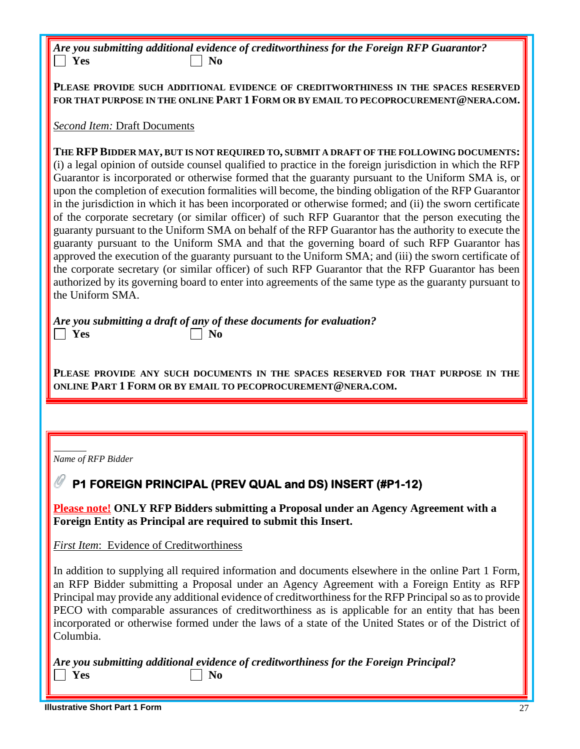*Are you submitting additional evidence of creditworthiness for the Foreign RFP Guarantor?*  **No** 

**PLEASE PROVIDE SUCH ADDITIONAL EVIDENCE OF CREDITWORTHINESS IN THE SPACES RESERVED FOR THAT PURPOSE IN THE ONLINE PART 1 FORM OR BY EMAIL TO PECOPROCUREMENT@NERA.COM.**

*Second Item:* Draft Documents

**THE RFP BIDDER MAY, BUT IS NOT REQUIRED TO, SUBMIT A DRAFT OF THE FOLLOWING DOCUMENTS:** (i) a legal opinion of outside counsel qualified to practice in the foreign jurisdiction in which the RFP Guarantor is incorporated or otherwise formed that the guaranty pursuant to the Uniform SMA is, or upon the completion of execution formalities will become, the binding obligation of the RFP Guarantor in the jurisdiction in which it has been incorporated or otherwise formed; and (ii) the sworn certificate of the corporate secretary (or similar officer) of such RFP Guarantor that the person executing the guaranty pursuant to the Uniform SMA on behalf of the RFP Guarantor has the authority to execute the guaranty pursuant to the Uniform SMA and that the governing board of such RFP Guarantor has approved the execution of the guaranty pursuant to the Uniform SMA; and (iii) the sworn certificate of the corporate secretary (or similar officer) of such RFP Guarantor that the RFP Guarantor has been authorized by its governing board to enter into agreements of the same type as the guaranty pursuant to the Uniform SMA.

*Are you submitting a draft of any of these documents for evaluation?*   $\Box$  Yes  $\Box$  No

**PLEASE PROVIDE ANY SUCH DOCUMENTS IN THE SPACES RESERVED FOR THAT PURPOSE IN THE ONLINE PART 1 FORM OR BY EMAIL TO PECOPROCUREMENT@NERA.COM.**

*Name of RFP Bidder*

## **P1 FOREIGN PRINCIPAL (PREV QUAL and DS) INSERT (#P1-12)**

**Please note! ONLY RFP Bidders submitting a Proposal under an Agency Agreement with a Foreign Entity as Principal are required to submit this Insert.**

*First Item*: Evidence of Creditworthiness

In addition to supplying all required information and documents elsewhere in the online Part 1 Form, an RFP Bidder submitting a Proposal under an Agency Agreement with a Foreign Entity as RFP Principal may provide any additional evidence of creditworthiness for the RFP Principal so as to provide PECO with comparable assurances of creditworthiness as is applicable for an entity that has been incorporated or otherwise formed under the laws of a state of the United States or of the District of Columbia.

*Are you submitting additional evidence of creditworthiness for the Foreign Principal?*   $\begin{array}{|c|c|c|c|c|c|c|c|}\n\hline \end{array}$  **Yes**  $\begin{array}{|c|c|c|c|c|c|c|c|}\n\hline \end{array}$  **No**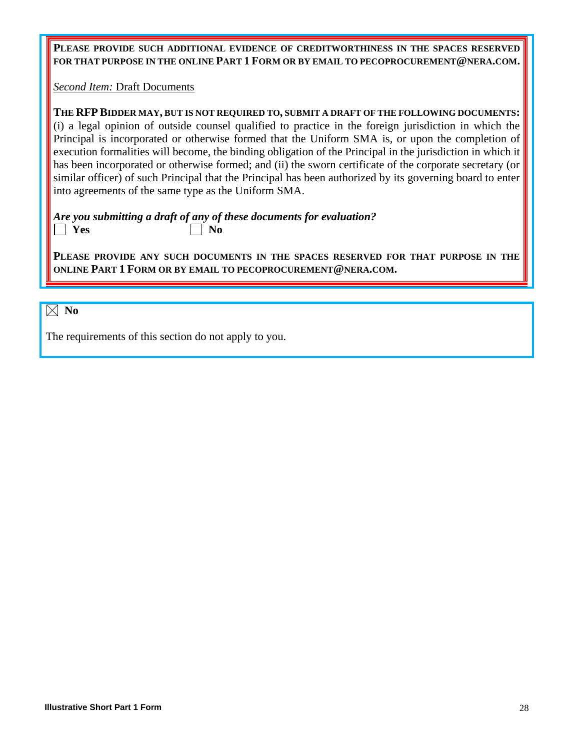**PLEASE PROVIDE SUCH ADDITIONAL EVIDENCE OF CREDITWORTHINESS IN THE SPACES RESERVED FOR THAT PURPOSE IN THE ONLINE PART 1 FORM OR BY EMAIL TO PECOPROCUREMENT@NERA.COM.**

*Second Item:* Draft Documents

**THE RFP BIDDER MAY, BUT IS NOT REQUIRED TO, SUBMIT A DRAFT OF THE FOLLOWING DOCUMENTS:** (i) a legal opinion of outside counsel qualified to practice in the foreign jurisdiction in which the Principal is incorporated or otherwise formed that the Uniform SMA is, or upon the completion of execution formalities will become, the binding obligation of the Principal in the jurisdiction in which it has been incorporated or otherwise formed; and (ii) the sworn certificate of the corporate secretary (or similar officer) of such Principal that the Principal has been authorized by its governing board to enter into agreements of the same type as the Uniform SMA.

*Are you submitting a draft of any of these documents for evaluation?*   $\vert$   $\vert$  Yes  $\vert$  No

PLEASE PROVIDE ANY SUCH DOCUMENTS IN THE SPACES RESERVED FOR THAT PURPOSE IN THE **ONLINE PART 1 FORM OR BY EMAIL TO PECOPROCUREMENT@NERA.COM.**

 $\boxtimes$  No

The requirements of this section do not apply to you.